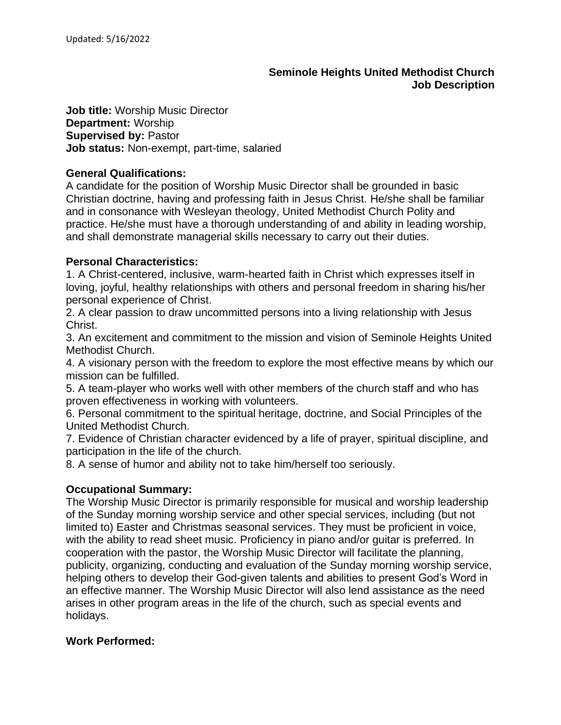# **Seminole Heights United Methodist Church Job Description**

**Job title:** Worship Music Director **Department:** Worship **Supervised by:** Pastor **Job status:** Non-exempt, part-time, salaried

### **General Qualifications:**

A candidate for the position of Worship Music Director shall be grounded in basic Christian doctrine, having and professing faith in Jesus Christ. He/she shall be familiar and in consonance with Wesleyan theology, United Methodist Church Polity and practice. He/she must have a thorough understanding of and ability in leading worship, and shall demonstrate managerial skills necessary to carry out their duties.

# **Personal Characteristics:**

1. A Christ-centered, inclusive, warm-hearted faith in Christ which expresses itself in loving, joyful, healthy relationships with others and personal freedom in sharing his/her personal experience of Christ.

2. A clear passion to draw uncommitted persons into a living relationship with Jesus Christ.

3. An excitement and commitment to the mission and vision of Seminole Heights United Methodist Church.

4. A visionary person with the freedom to explore the most effective means by which our mission can be fulfilled.

5. A team-player who works well with other members of the church staff and who has proven effectiveness in working with volunteers.

6. Personal commitment to the spiritual heritage, doctrine, and Social Principles of the United Methodist Church.

7. Evidence of Christian character evidenced by a life of prayer, spiritual discipline, and participation in the life of the church.

8. A sense of humor and ability not to take him/herself too seriously.

### **Occupational Summary:**

The Worship Music Director is primarily responsible for musical and worship leadership of the Sunday morning worship service and other special services, including (but not limited to) Easter and Christmas seasonal services. They must be proficient in voice, with the ability to read sheet music. Proficiency in piano and/or guitar is preferred. In cooperation with the pastor, the Worship Music Director will facilitate the planning, publicity, organizing, conducting and evaluation of the Sunday morning worship service, helping others to develop their God-given talents and abilities to present God's Word in an effective manner. The Worship Music Director will also lend assistance as the need arises in other program areas in the life of the church, such as special events and holidays.

### **Work Performed:**